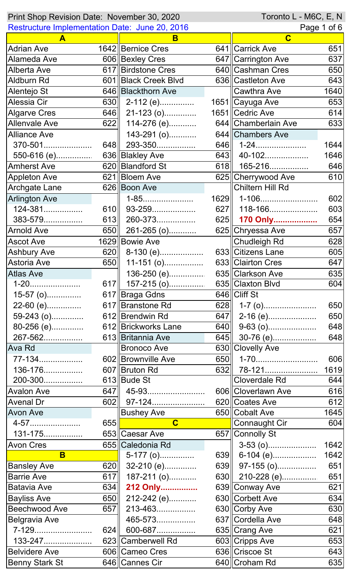| Toronto L - M6C, E, N<br>Print Shop Revision Date: November 30, 2020 |       |                                              |     |                             |             |
|----------------------------------------------------------------------|-------|----------------------------------------------|-----|-----------------------------|-------------|
| Restructure Implementation Date: June 20, 2016                       |       |                                              |     | Page 1 of 6                 |             |
| A                                                                    |       | B                                            |     | $\mathbf C$                 |             |
| <b>Adrian Ave</b>                                                    |       | 1642 Bernice Cres                            |     | 641 Carrick Ave             | 651         |
| Alameda Ave                                                          |       | 606 Bexley Cres                              |     | 647 Carrington Ave          | 637         |
| Alberta Ave                                                          |       | 617   Birdstone Cres                         |     | 640 Cashman Cres            | 650         |
| Aldburn Rd                                                           |       | 601   Black Creek Blvd                       |     | 636 Castleton Ave           | 643         |
| Alentejo St                                                          |       | 646 Blackthorn Ave                           |     | ∥Cawthra Ave                | 1640        |
| Alessia Cir                                                          | 630II | 2-112 (e)                                    |     | 1651 Cayuga Ave             | 653         |
| <b>Algarve Cres</b>                                                  | 646   | 21-123 (o)                                   |     | 1651 Cedric Ave             | 614         |
| <b>Allenvale Ave</b>                                                 | 622   | 114-276 (e)                                  |     | 644 Chamberlain Ave         | 633         |
| <b>Alliance Ave</b>                                                  |       | 143-291 (o)                                  |     | 644 Chambers Ave            |             |
| 370-501                                                              | 648   | 293-350                                      |     | $646$   1-24                | 1644        |
| 550-616 (e)                                                          |       | 636 Blakley Ave                              | 643 | 40-102                      | 1646        |
| <b>Amherst Ave</b>                                                   |       | 620   Blandford St                           | 618 | 165-216                     | 646         |
| <b>Appleton Ave</b>                                                  |       | 621 Bloem Ave                                |     | 625 Cherrywood Ave          | 610         |
| Archgate Lane                                                        |       | 626 Boon Ave                                 |     | Chiltern Hill Rd            |             |
| <b>Arlington Ave</b>                                                 |       | 1-85                                         |     | 1629   1-106                | 602         |
| 124-381                                                              | 610   | 93-259                                       | 627 | 118-166                     | 603         |
| 383-579                                                              | 613   | 260-373                                      |     | 625 170 Only                | 654         |
| <b>Arnold Ave</b>                                                    | 650   | 261-265 (o)                                  |     | 625 Chryessa Ave            | 657         |
| <b>Ascot Ave</b>                                                     |       | 1629 Bowie Ave                               |     | Chudleigh Rd                | 628         |
| <b>Ashbury Ave</b>                                                   | 620   | 8-130 (e)                                    |     | 633 Citizens Lane           | 605         |
| Astoria Ave                                                          | 650   | $11-151$ (o)                                 |     | 633 Clairton Cres           | 647         |
| <b>Atlas Ave</b>                                                     |       | 136-250 (e)                                  |     | 635 Clarkson Ave            | 635         |
| 1-20                                                                 |       | 617    157-215 (o)                           |     | 635 Claxton Blvd            | 604         |
| $15-57$ (o)                                                          |       | 617 Braga Gdns                               |     | $646$    Cliff St           |             |
| 22-60 (e)                                                            |       | 617 Branstone Rd                             |     | 628    $1-7$ (o)            | 650         |
| 59-243 (o)                                                           |       | 612 Brendwin Rd                              | 647 | 2-16 (e)                    | 650         |
| 80-256 (e)                                                           |       | 612 Brickworks Lane                          | 640 |                             | 648         |
| 267-562                                                              |       | 613 Britannia Ave                            | 645 |                             | 648         |
| Ava Rd                                                               |       | <b>Bronoco Ave</b>                           |     | 630 Clovelly Ave            |             |
| 77-134                                                               |       | 602 Brownville Ave                           |     | 650   1-70                  | 606         |
| 136-176                                                              |       | 607 Bruton Rd                                |     | $632$ 78-121                | 1619        |
| 200-300                                                              |       | 613 Bude St                                  |     | Cloverdale Rd               | 644         |
|                                                                      | 647   | 45-93                                        |     | 606 Cloverlawn Ave          |             |
| <b>Avalon Ave</b>                                                    |       |                                              |     | 620 Coates Ave              | 616         |
| <b>Avenal Dr</b>                                                     | 602   | 97-124                                       |     |                             | 612         |
| Avon Ave                                                             | 655   | <b>Bushey Ave</b><br>$\overline{\mathbf{C}}$ |     | 650 Cobalt Ave              | 1645<br>604 |
| 4-57                                                                 |       |                                              |     | Connaught Cir               |             |
| 131-175                                                              |       | 653 Caesar Ave                               |     | 657 Connolly St             |             |
| <b>Avon Cres</b>                                                     |       | 655 Caledonia Rd                             |     | $3-53$ (0)                  | 1642        |
| B                                                                    |       | $5-177$ (o)                                  |     | 639 6-104 (e)               | 1642        |
| <b>Bansley Ave</b>                                                   | 620   | 32-210 (e)                                   |     | 639    97-155 (o)           | 651         |
| <b>Barrie Ave</b>                                                    | 617   | 187-211 (o)                                  |     | 630 $\parallel$ 210-228 (e) | 651         |
| <b>Batavia Ave</b>                                                   | 634   | 212 Only                                     |     | 639 Conway Ave              | 621         |
| <b>Bayliss Ave</b>                                                   | 650   | 212-242 (e)                                  |     | 630 Corbett Ave             | 634         |
| <b>Beechwood Ave</b>                                                 | 657   | 213-463                                      |     | 630 Corby Ave               | 630         |
| <b>Belgravia Ave</b>                                                 |       | 465-573                                      |     | 637 Cordella Ave            | 648         |
| 7-129                                                                | 624   | 600-687                                      |     | 635 Crang Ave               | 621         |
| 133-247                                                              |       | 623 Camberwell Rd                            |     | 603 Cripps Ave              | 653         |
| <b>Belvidere Ave</b>                                                 |       | 606  Cameo Cres                              |     | 636 Criscoe St              | 643         |
| <b>Benny Stark St</b>                                                |       | 646  Cannes Cir                              |     | 640 Croham Rd               | 635         |

 $\mathbf l$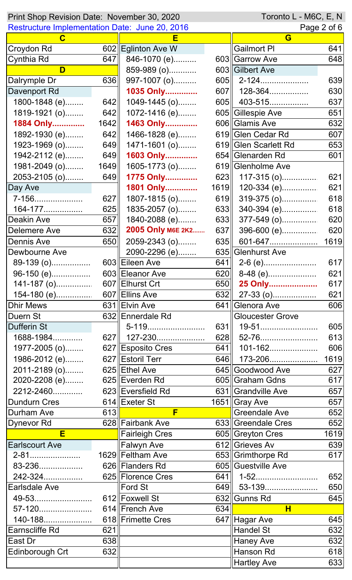| Toronto L - M6C, E, N<br>Print Shop Revision Date: November 30, 2020 |      |                       |      |                           |             |
|----------------------------------------------------------------------|------|-----------------------|------|---------------------------|-------------|
| Restructure Implementation Date: June 20, 2016                       |      |                       |      |                           | Page 2 of 6 |
| C                                                                    |      |                       |      | G                         |             |
| Croydon Rd                                                           |      | 602 Eglinton Ave W    |      | <b>Gailmort PI</b>        | 641         |
| Cynthia Rd                                                           | 647  | 846-1070 (e)          |      | 603 Garrow Ave            | 648         |
| D                                                                    |      | 859-989 (o)           |      | 603 Gilbert Ave           |             |
| Dalrymple Dr                                                         | 636  | 997-1007 (o)          | 605  | 2-124                     | 639         |
| Davenport Rd                                                         |      | 1035 Only             | 607  | 128-364                   | 630         |
| 1800-1848 (e)                                                        | 642  | 1049-1445 (o)         | 605  | 403-515                   | 637         |
| 1819-1921 (o)                                                        | 642  | 1072-1416 (e)         |      | 605 Gillespie Ave         | 651         |
| 1884 Only                                                            | 1642 | 1463 Only             |      | 606 Glamis Ave            | 632         |
| 1892-1930 (e)                                                        | 642  | 1466-1828 (e)         |      | 619 Glen Cedar Rd         | 607         |
| 1923-1969 (o)                                                        | 649  | 1471-1601 (o)         |      | 619 Glen Scarlett Rd      | 653         |
| 1942-2112 (e)                                                        | 649  | 1603 Only             |      | 654 Glenarden Rd          | 601         |
| 1981-2049 (o)                                                        | 1649 | 1605-1773 (o)         |      | 619 Glenholme Ave         |             |
| 2053-2105 (o)                                                        | 649  | 1775 Only             |      | 623 $\vert$ 117-315 (o)   | 621         |
| Day Ave                                                              |      | 1801 Only             | 1619 | 120-334 (e)               | 621         |
| 7-156                                                                | 627  | 1807-1815 (o)         | 619  | 319-375 (o)               | 618         |
| 164-177                                                              | 625  | 1835-2057 (o)         | 633  | 340-394 (e)               | 618         |
| Deakin Ave                                                           | 657  | 1840-2088 (e)         | 633  | $377 - 549$ (o)           | 620         |
| <b>Delemere Ave</b>                                                  | 632  | 2005 Only M6E 2K2     | 637  | 396-600 (e)               | 620         |
| Dennis Ave                                                           | 650  | 2059-2343 (o)         | 635  | 601-647                   | 1619        |
| Dewbourne Ave                                                        |      | 2090-2296 (e)         |      | 635 Glenhurst Ave         |             |
| 89-139 (o)                                                           |      | 603 Eileen Ave        | 641  |                           | 617         |
| 96-150 (e)                                                           |      | 603  Eleanor Ave      |      | $\overline{620}$ 8-48 (e) | 621         |
|                                                                      |      |                       |      | 650 25 Only               | 617         |
| 154-180 (e) 607 Ellins Ave                                           |      |                       |      |                           | 621         |
| <b>Dhir Mews</b>                                                     |      | 631 Elvin Ave         |      | 641∥Glenora Ave           | 606         |
| Duern St                                                             |      | 632 Ennerdale Rd      |      | <b>Gloucester Grove</b>   |             |
| <b>Dufferin St</b>                                                   |      | 5-119                 | 631  | 19-51                     | 605         |
| 1688-1984                                                            |      | 627   127-230         |      |                           | 613         |
| 1977-2005 (o)                                                        |      | 627 Esposito Cres     | 641  | 101-162                   | 606         |
| 1986-2012 (e)                                                        |      | 627 Estoril Terr      |      | 646    173-206            | 1619        |
| 2011-2189 (o)                                                        |      | 625 Ethel Ave         |      | 645 Goodwood Ave          | 627         |
| 2020-2208 (e)                                                        |      | 625 Everden Rd        |      | 605 Graham Gdns           | 617         |
| 2212-2460                                                            |      | 623 Eversfield Rd     |      | 631 Grandville Ave        | 657         |
| <b>Dundurn Cres</b>                                                  |      | 614 Exeter St         |      | 1651 Gray Ave             | 657         |
| Durham Ave                                                           | 613  | F                     |      | <b>Greendale Ave</b>      | 652         |
| Dynevor Rd                                                           |      | 628 Fairbank Ave      |      | 633 Greendale Cres        | 652         |
| E                                                                    |      | <b>Fairleigh Cres</b> |      | 605 Greyton Cres          | 1619        |
| <b>Earlscourt Ave</b>                                                |      | <b>Falwyn Ave</b>     |      | 612 Grieves Av            | 639         |
| 2-81                                                                 |      | 1629 Feltham Ave      |      | 653 Grimthorpe Rd         | 617         |
| 83-236                                                               |      | 626 Flanders Rd       |      | 605 Guestville Ave        |             |
| 242-324                                                              |      | 625 Florence Cres     |      | 641   1-52                | 652         |
| Earlsdale Ave                                                        |      | <b>Ford St</b>        |      | 649 53-139                | 650         |
| 49-53                                                                |      | 612 Foxwell St        |      | 632 Gunns Rd              | 645         |
| 57-120                                                               |      | 614 French Ave        | 634  | н                         |             |
| 140-188                                                              |      | 618 Frimette Cres     |      | 647 Hagar Ave             | 645         |
| Earnscliffe Rd                                                       | 621  |                       |      | Handel St                 | 632         |
| East Dr                                                              | 638  |                       |      | <b>Haney Ave</b>          | 632         |
| Edinborough Crt                                                      | 632  |                       |      | Hanson Rd                 | 618         |
|                                                                      |      |                       |      | <b>Hartley Ave</b>        | 633         |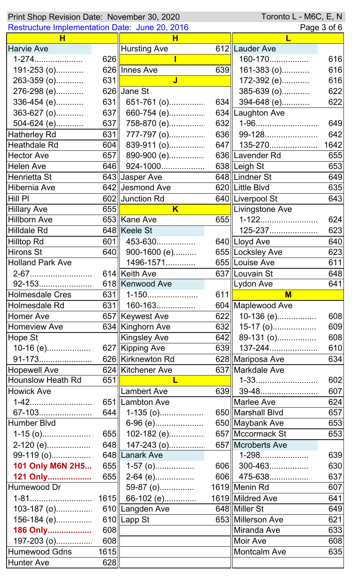| Toronto L - M6C, E, N<br>Print Shop Revision Date: November 30, 2020 |             |                                  |     |                       |                                                                                                                                          |
|----------------------------------------------------------------------|-------------|----------------------------------|-----|-----------------------|------------------------------------------------------------------------------------------------------------------------------------------|
| <b>Restructure Implementation Date: June 20, 2016</b>                |             |                                  |     |                       | Page 3 of 6                                                                                                                              |
| н                                                                    |             | н                                |     | L                     |                                                                                                                                          |
| <b>Harvie Ave</b>                                                    |             | <b>Hursting Ave</b>              |     | 612 Lauder Ave        |                                                                                                                                          |
| 1-274                                                                | 626         |                                  |     | 160-170               | 616                                                                                                                                      |
| 191-253 (o)                                                          |             | 626 Innes Ave                    | 639 | $161-383$ (o)         | 616                                                                                                                                      |
| 263-359 (o)                                                          | 631         | $\overline{\mathsf{J}}$          |     | 172-392 (e)           | 616                                                                                                                                      |
| 276-298 (e)                                                          |             | $626$ Uane St                    |     | 385-639 (o)           | 622                                                                                                                                      |
| 336-454 (e)                                                          | 631         | 651-761 (o)                      | 634 | 394-648 (e)           | 622                                                                                                                                      |
| 363-627 (o)                                                          | 637         | 660-754 (e)                      |     | 634 Laughton Ave      |                                                                                                                                          |
| 504-624 (e)                                                          | 637         | 758-870 (e)                      | 632 | 1-96                  | 649                                                                                                                                      |
| <b>Hatherley Rd</b>                                                  | 631         | 777-797 (o)                      |     | 636 99-128            | 642                                                                                                                                      |
| Heathdale Rd                                                         | 604         | 839-911 (o)                      |     | 647   135-270         | 1642                                                                                                                                     |
| <b>Hector Ave</b>                                                    | 657         | 890-900 (e)                      |     | 636 Lavender Rd       | 655                                                                                                                                      |
| <b>Helen Ave</b>                                                     | 646         | 924-1000                         |     | 638 Leigh St          | 653                                                                                                                                      |
| Henrietta St                                                         |             | 643 Jasper Ave                   |     | 648 Lindner St        | 649                                                                                                                                      |
| <b>Hibernia Ave</b>                                                  |             | 642 Jesmond Ave                  |     | 620 Little Blvd       | 635                                                                                                                                      |
| Hill PI                                                              |             | 602 Junction Rd                  |     | 640 Liverpool St      | 643                                                                                                                                      |
| <b>Hillary Ave</b>                                                   | 655         | $\overline{\mathsf{K}}$          |     | Livingstone Ave       |                                                                                                                                          |
| <b>Hillborn Ave</b>                                                  |             | 653 Kane Ave                     | 655 | 1-122                 | 624                                                                                                                                      |
| <b>Hilldale Rd</b>                                                   |             | 648 Keele St                     |     | 125-237               | 623                                                                                                                                      |
| <b>Hilltop Rd</b>                                                    | 601         | 453-630                          |     | 640 Lloyd Ave         | 640                                                                                                                                      |
| <b>Hirons St</b>                                                     | 640         | 900-1600 (e)                     |     | 655 Locksley Ave      | 623                                                                                                                                      |
| <b>Holland Park Ave</b>                                              |             | 1496-1571                        |     | 655 Louise Ave        | 611                                                                                                                                      |
|                                                                      |             |                                  |     |                       |                                                                                                                                          |
| 92-153                                                               |             | 614 Keith Ave<br>618 Kenwood Ave |     | 637   Louvain St      | 648<br>641                                                                                                                               |
|                                                                      |             |                                  | 611 | $\parallel$ Lydon Ave |                                                                                                                                          |
| <b>Holmesdale Cres</b>                                               |             | $631$    1-150                   |     | $M$                   |                                                                                                                                          |
|                                                                      |             |                                  |     |                       |                                                                                                                                          |
| Holmesdale Rd                                                        | 631         | 160-163                          |     | 604   Maplewood Ave   |                                                                                                                                          |
| <b>Homer Ave</b>                                                     |             | 657 Keywest Ave                  | 622 | 10-136 (e)            |                                                                                                                                          |
| <b>Homeview Ave</b>                                                  |             | 634 Kinghorn Ave                 | 632 | 15-17 (o)             |                                                                                                                                          |
| Hope St                                                              |             | <b>Kingsley Ave</b>              | 642 | 89-131 (o)            |                                                                                                                                          |
| $10-16$ (e)                                                          |             | 627 Kipping Ave                  |     | 639 137-244           |                                                                                                                                          |
| 91-173                                                               |             | 626 Kirknewton Rd                |     | 628 Mariposa Ave      |                                                                                                                                          |
| <b>Hopewell Ave</b>                                                  |             | 624 Kitchener Ave                |     | 637 Markdale Ave      |                                                                                                                                          |
| <b>Hounslow Heath Rd</b>                                             | 651         | L                                |     | 1-33                  |                                                                                                                                          |
| <b>Howick Ave</b>                                                    |             | Lambert Ave                      | 639 |                       |                                                                                                                                          |
| 1-42                                                                 |             | 651   Lambton Ave                |     | Marlee Ave            |                                                                                                                                          |
| 67-103                                                               |             | 644    1-135 (o)                 |     | 650   Marshall Blvd   |                                                                                                                                          |
| Humber Blvd                                                          |             | 6-96 (e)                         |     | 650 Maybank Ave       |                                                                                                                                          |
| $1-15$ (o)                                                           | 655         | 102-182 (e)                      |     | 657   Mccormack St    |                                                                                                                                          |
| $2-120$ (e)                                                          |             | 648    147-243 (o)               |     | 657 Mcroberts Ave     |                                                                                                                                          |
| 99-119 (o)                                                           |             | 648 Lanark Ave                   |     | 1-298                 |                                                                                                                                          |
| 101 Only M6N 2H5                                                     |             | 655  1-57 (o)                    |     | 606  300-463          |                                                                                                                                          |
| 121 Only                                                             | 655         | $2-64$ (e)                       |     | 606 475-638           |                                                                                                                                          |
| Humewood Dr                                                          |             | 59-87 (o)                        |     | 1619 Menin Rd         |                                                                                                                                          |
|                                                                      | 1615        |                                  |     | 1619 Mildred Ave      |                                                                                                                                          |
| 1-81                                                                 |             | 66-102 (e)<br>610 Langden Ave    |     | 648 Miller St         |                                                                                                                                          |
| $103 - 187$ (o)                                                      |             |                                  |     |                       |                                                                                                                                          |
| 156-184 (e)                                                          |             | 610 Lapp St                      |     | 653 Millerson Ave     | 621                                                                                                                                      |
| 186 Only                                                             | 608         |                                  |     | Miranda Ave           |                                                                                                                                          |
| 197-203 (o)                                                          | 608         |                                  |     | <b>Moir Ave</b>       |                                                                                                                                          |
| <b>Humewood Gdns</b><br><b>Hunter Ave</b>                            | 1615<br>628 |                                  |     | <b>Montcalm Ave</b>   | 608<br>609<br>608<br>610<br>634<br>602<br>607<br>624<br>657<br>653<br>653<br>639<br>630<br>637<br>607<br>641<br>649<br>633<br>608<br>635 |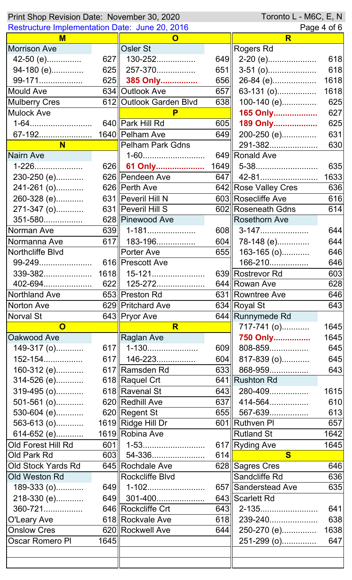| Toronto L - M6C, E, N<br>Print Shop Revision Date: November 30, 2020 |       |                         |     |                              |             |  |
|----------------------------------------------------------------------|-------|-------------------------|-----|------------------------------|-------------|--|
| <b>Restructure Implementation Date: June 20, 2016</b>                |       |                         |     | Page 4 of 6                  |             |  |
| M                                                                    |       | $\mathbf O$             |     | R                            |             |  |
| <b>Morrison Ave</b>                                                  |       | Osler St                |     | Rogers Rd                    |             |  |
| 42-50 (e)                                                            | 627II | 130-252                 | 649 | 2-20 (e)                     | 618         |  |
| 94-180 (e)                                                           | 625   | 257-370                 | 651 | $3-51$ (0)                   | 618         |  |
| 99-171                                                               |       | 625 385 Only            | 656 | 26-84 (e)                    | 1618        |  |
| <b>Mould Ave</b>                                                     |       | 634 Outlook Ave         | 657 | 63-131 (o)                   | 1618        |  |
| <b>Mulberry Cres</b>                                                 |       | 612 Outlook Garden Blvd | 638 | $100-140$ (e)                | 625         |  |
| <b>Mulock Ave</b>                                                    |       | P                       |     | 165 Only                     | 627         |  |
| 1-64                                                                 |       | 640 Park Hill Rd        | 605 | 189 Only                     | 625         |  |
| 67-192                                                               |       | 1640   Pelham Ave       | 649 | 200-250 (e)                  | 631         |  |
| N <sub>1</sub>                                                       |       | Pelham Park Gdns        |     | 291-382                      | 630         |  |
| <b>Nairn Ave</b>                                                     |       | 1-60                    |     | 649 Ronald Ave               |             |  |
| 1-226                                                                | 626   | 61 Only                 |     | $1649$ 5-38                  | 635         |  |
| 230-250 (e)                                                          |       | 626 Pendeen Ave         | 647 | 42-81                        | 1633        |  |
| 241-261 (o)                                                          |       | 626 Perth Ave           |     | 642 Rose Valley Cres         | 636         |  |
| 260-328 (e)                                                          |       | 631   Peveril Hill N    |     | 603 Rosecliffe Ave           | 616         |  |
| 271-347 (o)                                                          |       | 631    Peveril Hill S   |     | 602 Roseneath Gdns           | 614         |  |
| 351-580                                                              |       | 628 Pinewood Ave        |     | <b>Rosethorn Ave</b>         |             |  |
| Norman Ave                                                           | 639   | 1-181                   | 608 | 3-147                        | 644         |  |
| Normanna Ave                                                         | 617   | 183-196                 | 604 | 78-148 (e)                   | 644         |  |
| Northcliffe Blvd                                                     |       | <b>Porter Ave</b>       | 655 | 163-165 (o)                  | 646         |  |
| 99-249                                                               |       | 616  Prescott Ave       |     | 166-210                      | 646         |  |
|                                                                      |       |                         |     | 639 Rostrevor Rd             | 603         |  |
| 402-694                                                              | 622   | 125-272                 |     | 644 Rowan Ave                | 628         |  |
| Northland Ave                                                        |       | 653 Preston Rd          |     | 631 Rowntree Ave             | 646         |  |
| <b>Norton Ave</b>                                                    |       | 629 Pritchard Ave       |     | 634 Royal St                 | 643         |  |
| Norval St                                                            |       | 643 Pryor Ave           |     | 644 Runnymede Rd             |             |  |
| $\overline{\mathbf{O}}$                                              |       | R                       |     | 717-741 (o)                  | 1645        |  |
| Oakwood Ave                                                          |       | Raglan Ave              |     | 750 Only                     | 1645        |  |
| 149-317 (o)                                                          |       | 617   1-130             | 609 | 808-859                      | 645         |  |
| 152-154                                                              |       | 617   146-223           | 604 | 817-839 (o)                  | 645         |  |
| 160-312 (e)                                                          |       | 617 Ramsden Rd          | 633 | 868-959                      | 643         |  |
| 314-526 (e)                                                          |       | 618 Raquel Crt          |     | 641 Rushton Rd               |             |  |
|                                                                      |       | 618 Ravenal St          | 643 |                              |             |  |
| 319-495 (o)                                                          |       | 620 Redhill Ave         |     | 280-409                      | 1615<br>610 |  |
| 501-561 (o)                                                          |       | 620 Regent St           | 637 | 414-564<br>655 567-639       |             |  |
| 530-604 (e)                                                          |       |                         |     | 601 Ruthven Pl               | 613         |  |
| 563-613 (o)                                                          |       | 1619 Ridge Hill Dr      |     |                              | 657         |  |
| 614-652 (e)                                                          |       | 1619 Robina Ave         |     | <b>Rutland St</b>            | 1642        |  |
| Old Forest Hill Rd                                                   | 601   | 1-53                    |     | 617 Ryding Ave               | 1645        |  |
| Old Park Rd                                                          |       | 603    54-336           | 614 | $\mathbf{s}$                 |             |  |
| Old Stock Yards Rd                                                   |       | 645 Rochdale Ave        |     | 628 Sagres Cres              | 646         |  |
| Old Weston Rd                                                        |       | Rockcliffe Blvd         |     | Sandcliffe Rd                | 636         |  |
| 189-333 (o)                                                          |       | 649   1-102             |     | 657 Sanderstead Ave          | 635         |  |
| 218-330 (e)                                                          |       | 649    301-400          |     | 643 Scarlett Rd              |             |  |
| 360-721                                                              |       | 646 Rockcliffe Crt      |     |                              | 641         |  |
| O'Leary Ave                                                          |       | 618 Rockvale Ave        |     | 618 239-240                  | 638         |  |
| <b>Onslow Cres</b>                                                   |       | 620 Rockwell Ave        |     | $\overline{644}$ 250-270 (e) | 1638        |  |
| <b>Oscar Romero PI</b>                                               | 1645  |                         |     | 251-299 (o)                  | 647         |  |
|                                                                      |       |                         |     |                              |             |  |
|                                                                      |       |                         |     |                              |             |  |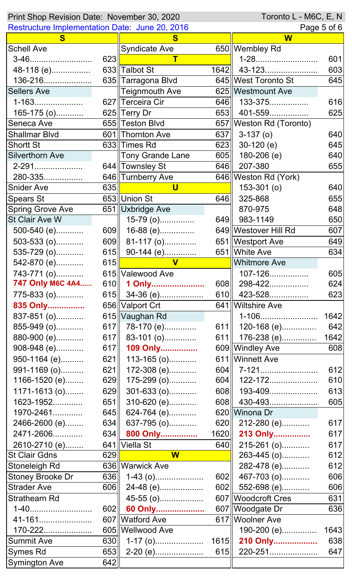| Toronto L - M6C, E, N<br>Print Shop Revision Date: November 30, 2020 |     |                            |      |                           |      |
|----------------------------------------------------------------------|-----|----------------------------|------|---------------------------|------|
| Restructure Implementation Date: June 20, 2016                       |     |                            |      | Page 5 of 6               |      |
| S.                                                                   |     | S                          |      | W                         |      |
| <b>Schell Ave</b>                                                    |     | <b>Syndicate Ave</b>       |      | 650 Wembley Rd            |      |
| 3-46                                                                 | 623 |                            |      | 1-28                      | 601  |
| 48-118 (e)                                                           |     | 633 Talbot St              | 1642 | 43-123                    | 603  |
| 136-216                                                              |     | 635  Tarragona Blvd        |      | 645 West Toronto St       | 645  |
| <b>Sellers Ave</b>                                                   |     | <b>Teignmouth Ave</b>      |      | 625 Westmount Ave         |      |
| 1-163                                                                |     | 627 Terceira Cir           | 646  | 133-375                   | 616  |
| 165-175 (o)                                                          |     | 625 Terry Dr               | 653  | 401-559                   | 625  |
| Seneca Ave                                                           |     | 655 Teston Blvd            |      | 657   Weston Rd (Toronto) |      |
| <b>Shallmar Blvd</b>                                                 |     | 601 Thornton Ave           | 637  | $3-137$ (o)               | 640  |
| <b>Shortt St</b>                                                     |     | 633 Times Rd               | 623  | $30-120$ (e)              | 645  |
| <b>Silverthorn Ave</b>                                               |     | <b>Tony Grande Lane</b>    | 605  | $180-206$ (e)             | 640  |
| 2-291                                                                |     | 644 Townsley St            | 646  | 207-380                   | 655  |
| 280-335                                                              |     | 646 Turnberry Ave          |      | 646   Weston Rd (York)    |      |
| <b>Snider Ave</b>                                                    | 635 | U                          |      | $153-301$ (o)             | 640  |
| <b>Spears St</b>                                                     |     | 653 Union St               | 646  | 325-868                   | 655  |
| <b>Spring Grove Ave</b>                                              |     | 651 Uxbridge Ave           |      | 870-975                   | 648  |
| St Clair Ave W                                                       |     | 15-79 (o)                  | 649  | 983-1149                  | 650  |
| 500-540 (e)                                                          | 609 | 16-88 (e)                  |      | 649 Westover Hill Rd      | 607  |
| $503 - 533$ (o)                                                      |     | 609 $\  81-117$ (o)        |      | 651   Westport Ave        | 649  |
| 535-729 (o)                                                          | 615 | 90-144 (e)                 |      | 651 White Ave             | 634  |
| 542-870 (e)                                                          | 615 | $\overline{\mathsf{V}}$    |      | <b>Whitmore Ave</b>       |      |
| 743-771 (o)                                                          |     | 615 Valewood Ave           |      | 107-126                   | 605  |
| 747 Only M6C 4A4                                                     |     | 610   1 Only               | 608  | 298-422                   | 624  |
| 775-833 (o)                                                          |     | 615   34-36 (e)            | 610  | 423-528                   | 623  |
| 835 Only                                                             |     | 656 Valport Crt            |      | 641 Wiltshire Ave         |      |
| 837-851 (o)                                                          |     | 615 Vaughan Rd             |      | 1-106                     | 1642 |
| 855-949 (o)                                                          |     | 617   78-170 (e)           | 611  | 120-168 (e)               | 642  |
| 880-900 (e)                                                          | 617 | 83-101 (o)                 | 611  |                           |      |
| 908-948 (e)                                                          | 617 | 109 Only                   |      | 609 Windley Ave           | 608  |
| 950-1164 (e)                                                         | 621 | $113 - 165$ (o)            |      | 611 Winnett Ave           |      |
| 991-1169 (o)                                                         | 621 | 172-308 (e)                |      |                           | 612  |
| 1166-1520 (e)                                                        | 629 | 175-299 (o)                | 604  | 122-172                   | 610  |
| $1171 - 1613(0)$                                                     | 629 | 301-633 (o)                | 608  | 193-409                   | 613  |
| 1623-1952                                                            | 651 | 310-620 (e)                |      | 608    430-493            | 605  |
| 1970-2461                                                            | 645 | 624-764 (e)                |      | 620 Winona Dr             |      |
| 2466-2600 (e)                                                        | 634 | $637-795$ (o)              |      | 620 $\ $ 212-280 (e)      | 617  |
| 2471-2606                                                            | 634 | 800 Only                   |      | 1620 213 Only             | 617  |
| 2610-2710 (e)                                                        |     | 641 Viella St              | 640  | 215-261 (o)               | 617  |
| <b>St Clair Gdns</b>                                                 | 629 | <b>W</b>                   |      | 263-445 (o)               | 612  |
| Stoneleigh Rd                                                        |     | 636 Warwick Ave            |      | 282-478 (e)               | 612  |
| <b>Stoney Brooke Dr</b>                                              | 636 | $1-43$ (o)                 | 602  | 467-703 (o)               | 606  |
| <b>Strader Ave</b>                                                   | 606 | 24-48 (e)                  | 602  | 552-698 (e)               | 606  |
| <b>Strathearn Rd</b>                                                 |     | 45-55 (o)                  |      | 607 Woodcroft Cres        | 631  |
| 1-40                                                                 | 602 |                            |      | 607   Woodgate Dr         | 636  |
| 41-161                                                               |     | 60 Only<br>607 Watford Ave |      | 617 Woolner Ave           |      |
| 170-222                                                              |     | 605 Wellwood Ave           |      | 190-200 (e)               | 1643 |
| <b>Summit Ave</b>                                                    | 630 | $1-17$ (o)                 | 1615 | 210 Only                  | 638  |
| Symes Rd                                                             | 653 | 2-20 (e)                   | 615  | 220-251                   | 647  |
| Symington Ave                                                        | 642 |                            |      |                           |      |
|                                                                      |     |                            |      |                           |      |